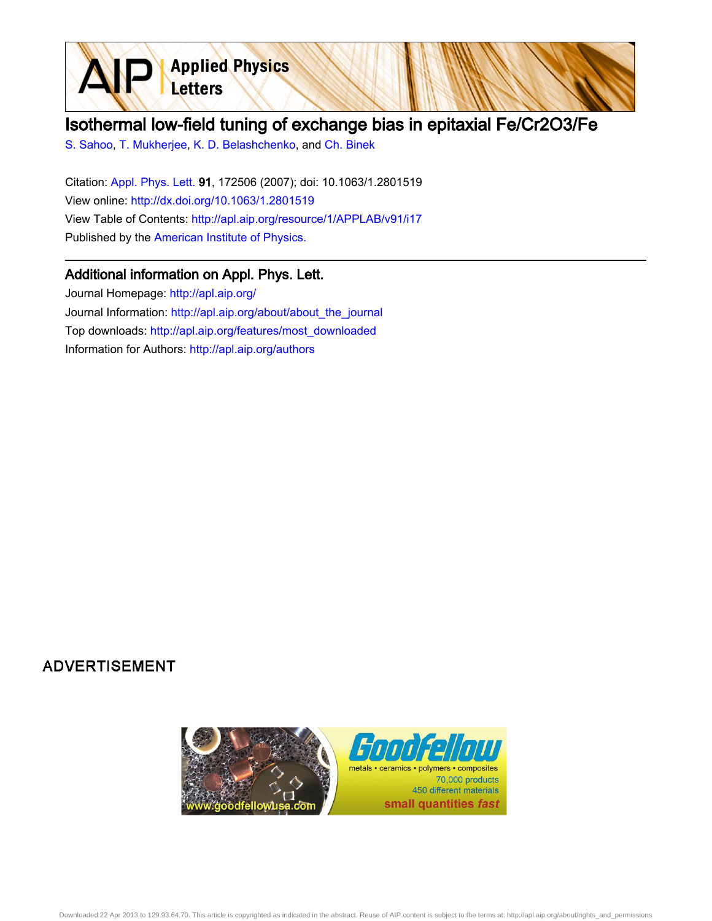

# Isothermal low-field tuning of exchange bias in epitaxial Fe/Cr2O3/Fe

[S. Sahoo](http://apl.aip.org/search?sortby=newestdate&q=&searchzone=2&searchtype=searchin&faceted=faceted&key=AIP_ALL&possible1=S. Sahoo&possible1zone=author&alias=&displayid=AIP&ver=pdfcov), [T. Mukherjee,](http://apl.aip.org/search?sortby=newestdate&q=&searchzone=2&searchtype=searchin&faceted=faceted&key=AIP_ALL&possible1=T. Mukherjee&possible1zone=author&alias=&displayid=AIP&ver=pdfcov) [K. D. Belashchenko](http://apl.aip.org/search?sortby=newestdate&q=&searchzone=2&searchtype=searchin&faceted=faceted&key=AIP_ALL&possible1=K. D. Belashchenko&possible1zone=author&alias=&displayid=AIP&ver=pdfcov), and [Ch. Binek](http://apl.aip.org/search?sortby=newestdate&q=&searchzone=2&searchtype=searchin&faceted=faceted&key=AIP_ALL&possible1=Ch. Binek&possible1zone=author&alias=&displayid=AIP&ver=pdfcov)

Citation: [Appl. Phys. Lett. 9](http://apl.aip.org/?ver=pdfcov)1, 172506 (2007); doi: 10.1063/1.2801519 View online: [http://dx.doi.org/10.1063/1.2801519](http://link.aip.org/link/doi/10.1063/1.2801519?ver=pdfcov) View Table of Contents: [http://apl.aip.org/resource/1/APPLAB/v91/i17](http://apl.aip.org/resource/1/APPLAB/v91/i17?ver=pdfcov) Published by the [American Institute of Physics.](http://www.aip.org/?ver=pdfcov)

### Additional information on Appl. Phys. Lett.

Journal Homepage: [http://apl.aip.org/](http://apl.aip.org/?ver=pdfcov) Journal Information: [http://apl.aip.org/about/about\\_the\\_journal](http://apl.aip.org/about/about_the_journal?ver=pdfcov) Top downloads: [http://apl.aip.org/features/most\\_downloaded](http://apl.aip.org/features/most_downloaded?ver=pdfcov) Information for Authors: [http://apl.aip.org/authors](http://apl.aip.org/authors?ver=pdfcov)

## **ADVERTISEMENT**

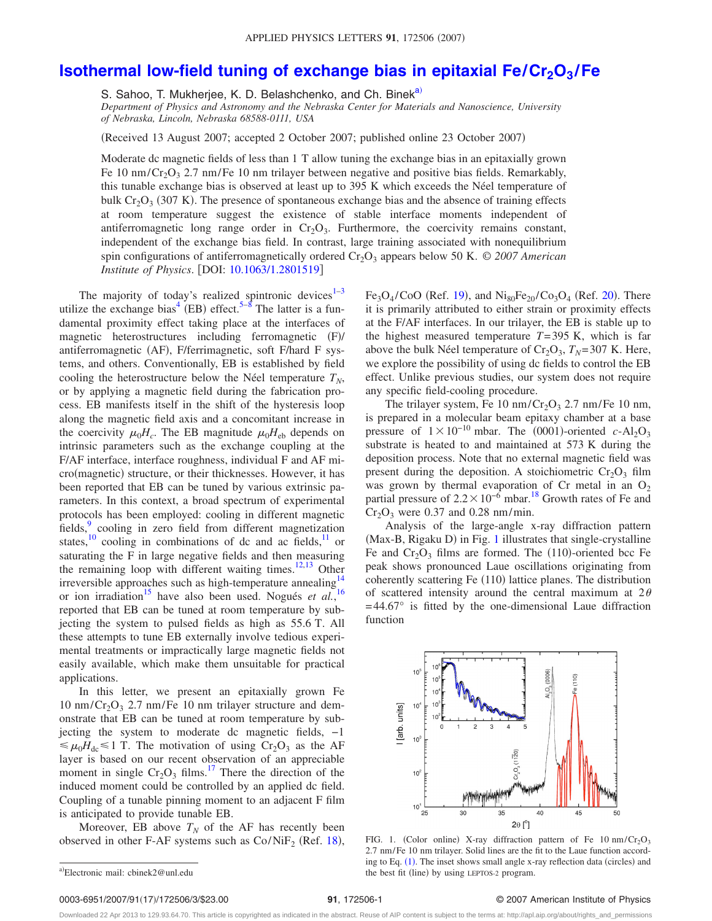#### **Isothermal low-field tuning of exchange bias in epitaxial Fe/Cr<sub>2</sub>O<sub>3</sub>/Fe**

S. Sahoo, T. Mukherjee, K. D. Belashchenko, and Ch. Binek<sup>a)</sup>

*Department of Physics and Astronomy and the Nebraska Center for Materials and Nanoscience, University of Nebraska, Lincoln, Nebraska 68588-0111, USA*

Received 13 August 2007; accepted 2 October 2007; published online 23 October 2007-

Moderate dc magnetic fields of less than 1 T allow tuning the exchange bias in an epitaxially grown Fe 10 nm/Cr<sub>2</sub>O<sub>3</sub> 2.7 nm/Fe 10 nm trilayer between negative and positive bias fields. Remarkably, this tunable exchange bias is observed at least up to 395 K which exceeds the Néel temperature of bulk  $Cr_2O_3$  (307 K). The presence of spontaneous exchange bias and the absence of training effects at room temperature suggest the existence of stable interface moments independent of antiferromagnetic long range order in  $Cr_2O_3$ . Furthermore, the coercivity remains constant, independent of the exchange bias field. In contrast, large training associated with nonequilibrium spin configurations of antiferromagnetically ordered Cr<sub>2</sub>O<sub>3</sub> appears below 50 K. © 2007 American *Institute of Physics.* [DOI: [10.1063/1.2801519](http://dx.doi.org/10.1063/1.2801519)]

The majority of today's realized spintronic devices $1-3$  $1-3$ utilize the exchange bias<sup>4</sup> (EB) effect.<sup>5–[8](#page-3-4)</sup> The latter is a fundamental proximity effect taking place at the interfaces of magnetic heterostructures including ferromagnetic (F)/ antiferromagnetic (AF), F/ferrimagnetic, soft F/hard F systems, and others. Conventionally, EB is established by field cooling the heterostructure below the Néel temperature  $T_N$ , or by applying a magnetic field during the fabrication process. EB manifests itself in the shift of the hysteresis loop along the magnetic field axis and a concomitant increase in the coercivity  $\mu_0 H_c$ . The EB magnitude  $\mu_0 H_{eb}$  depends on intrinsic parameters such as the exchange coupling at the F/AF interface, interface roughness, individual F and AF micro(magnetic) structure, or their thicknesses. However, it has been reported that EB can be tuned by various extrinsic parameters. In this context, a broad spectrum of experimental protocols has been employed: cooling in different magnetic fields,<sup>9</sup> cooling in zero field from different magnetization states,<sup>10</sup> cooling in combinations of dc and ac fields, $\frac{11}{11}$  or saturating the F in large negative fields and then measuring the remaining loop with different waiting times.<sup>12[,13](#page-3-9)</sup> Other irreversible approaches such as high-temperature annealing or ion irradiation<sup>15</sup> have also been used. Nogués et al.,<sup>[16](#page-3-12)</sup> reported that EB can be tuned at room temperature by subjecting the system to pulsed fields as high as 55.6 T. All these attempts to tune EB externally involve tedious experimental treatments or impractically large magnetic fields not easily available, which make them unsuitable for practical applications.

In this letter, we present an epitaxially grown Fe 10 nm/ $Cr_2O_3$  2.7 nm/Fe 10 nm trilayer structure and demonstrate that EB can be tuned at room temperature by subjecting the system to moderate dc magnetic fields, −1  $\leq \mu_0 H_{dc} \leq 1$  T. The motivation of using Cr<sub>2</sub>O<sub>3</sub> as the AF layer is based on our recent observation of an appreciable moment in single  $Cr_2O_3$  films.<sup>17</sup> There the direction of the induced moment could be controlled by an applied dc field. Coupling of a tunable pinning moment to an adjacent F film is anticipated to provide tunable EB.

<span id="page-1-0"></span>Moreover, EB above  $T_N$  of the AF has recently been observed in other F-AF systems such as  $Co/NiF_2$  (Ref. [18](#page-3-14)),

Fe<sub>3</sub>O<sub>4</sub>/CoO (Ref. [19](#page-3-15)), and  $\text{Ni}_{80}\text{Fe}_{20}/\text{Co}_{3}\text{O}_{4}$  $\text{Ni}_{80}\text{Fe}_{20}/\text{Co}_{3}\text{O}_{4}$  $\text{Ni}_{80}\text{Fe}_{20}/\text{Co}_{3}\text{O}_{4}$  (Ref. 20). There it is primarily attributed to either strain or proximity effects at the F/AF interfaces. In our trilayer, the EB is stable up to the highest measured temperature  $T=395$  K, which is far above the bulk Néel temperature of  $Cr_2O_3$ ,  $T_N$ = 307 K. Here, we explore the possibility of using dc fields to control the EB effect. Unlike previous studies, our system does not require any specific field-cooling procedure.

The trilayer system, Fe 10 nm/Cr<sub>2</sub>O<sub>3</sub> 2.7 nm/Fe 10 nm, is prepared in a molecular beam epitaxy chamber at a base pressure of  $1 \times 10^{-10}$  mbar. The (0001)-oriented *c*-Al<sub>2</sub>O<sub>3</sub> substrate is heated to and maintained at 573 K during the deposition process. Note that no external magnetic field was present during the deposition. A stoichiometric  $Cr_2O_3$  film was grown by thermal evaporation of Cr metal in an  $O_2$ partial pressure of  $2.2 \times 10^{-6}$  mbar.<sup>18</sup> Growth rates of Fe and  $Cr_2O_3$  were 0.37 and 0.28 nm/min.

Analysis of the large-angle x-ray diffraction pattern (Max-B, Rigaku D) in Fig. [1](#page-1-1) illustrates that single-crystalline Fe and  $Cr_2O_3$  films are formed. The (110)-oriented bcc Fe peak shows pronounced Laue oscillations originating from coherently scattering Fe (110) lattice planes. The distribution of scattered intensity around the central maximum at  $2\theta$  $= 44.67$ ° is fitted by the one-dimensional Laue diffraction function

<span id="page-1-1"></span>

FIG. 1. (Color online) X-ray diffraction pattern of Fe  $10 \text{ nm}/\text{Cr}_2\text{O}_3$ 2.7 nm/Fe 10 nm trilayer. Solid lines are the fit to the Laue function according to Eq.  $(1)$  $(1)$  $(1)$ . The inset shows small angle x-ray reflection data (circles) and the best fit (line) by using LEPTOS-2 program.

#### **91**, 172506-1 © 2007 American Institute of Physics

Downloaded 22 Apr 2013 to 129.93.64.70. This article is copyrighted as indicated in the abstract. Reuse of AIP content is subject to the terms at: http://apl.aip.org/about/rights\_and\_permission

a)Electronic mail: cbinek2@unl.edu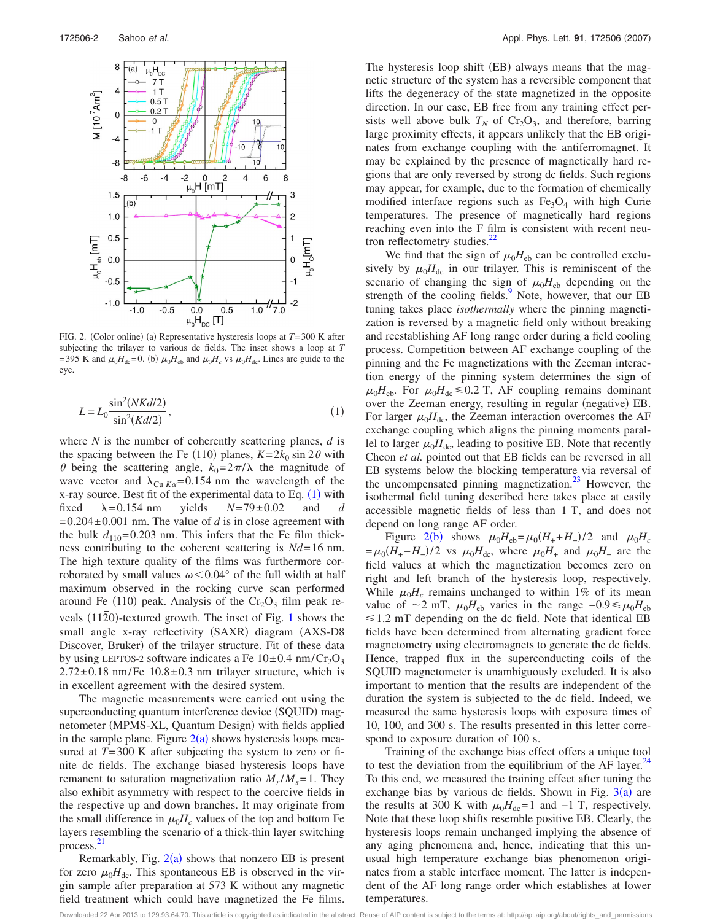<span id="page-2-1"></span>

<span id="page-2-0"></span>FIG. 2. (Color online) (a) Representative hysteresis loops at  $T=300$  K after subjecting the trilayer to various dc fields. The inset shows a loop at *T* = 395 K and  $\mu_0 H_{dc}$ =0. (b)  $\mu_0 H_{eb}$  and  $\mu_0 H_c$  vs  $\mu_0 H_{dc}$ . Lines are guide to the eye.

$$
L = L_0 \frac{\sin^2(NKd/2)}{\sin^2(Kd/2)},
$$
\n(1)

where *N* is the number of coherently scattering planes, *d* is the spacing between the Fe (110) planes,  $K = 2k_0 \sin 2\theta$  with  $\theta$  being the scattering angle,  $k_0 = 2\pi/\lambda$  the magnitude of wave vector and  $\lambda_{Cu K\alpha}$ = 0.154 nm the wavelength of the x-ray source. Best fit of the experimental data to Eq.  $(1)$  $(1)$  $(1)$  with fixed  $\lambda = 0.154$  nm yields  $N = 79 \pm 0.02$  and *d*  $= 0.204 \pm 0.001$  nm. The value of *d* is in close agreement with the bulk  $d_{110}$ =0.203 nm. This infers that the Fe film thickness contributing to the coherent scattering is *Nd*= 16 nm. The high texture quality of the films was furthermore corroborated by small values  $\omega$ <0.04° of the full width at half maximum observed in the rocking curve scan performed around Fe  $(110)$  peak. Analysis of the Cr<sub>2</sub>O<sub>3</sub> film peak reveals  $(1120)$  $(1120)$  $(1120)$ -textured growth. The inset of Fig. 1 shows the small angle x-ray reflectivity (SAXR) diagram (AXS-D8 Discover, Bruker) of the trilayer structure. Fit of these data by using LEPTOS-2 software indicates a Fe  $10\pm0.4$  nm/Cr<sub>2</sub>O<sub>3</sub>  $2.72 \pm 0.18$  nm/Fe  $10.8 \pm 0.3$  nm trilayer structure, which is in excellent agreement with the desired system.

The magnetic measurements were carried out using the superconducting quantum interference device (SQUID) magnetometer (MPMS-XL, Quantum Design) with fields applied in the sample plane. Figure  $2(a)$  $2(a)$  shows hysteresis loops measured at *T*= 300 K after subjecting the system to zero or finite dc fields. The exchange biased hysteresis loops have remanent to saturation magnetization ratio  $M_r/M_s = 1$ . They also exhibit asymmetry with respect to the coercive fields in the respective up and down branches. It may originate from the small difference in  $\mu_0 H_c$  values of the top and bottom Fe layers resembling the scenario of a thick-thin layer switching process. [21](#page-3-17)

Remarkably, Fig.  $2(a)$  $2(a)$  shows that nonzero EB is present for zero  $\mu_0H_{\text{dc}}$ . This spontaneous EB is observed in the virgin sample after preparation at 573 K without any magnetic field treatment which could have magnetized the Fe films.

The hysteresis loop shift (EB) always means that the magnetic structure of the system has a reversible component that lifts the degeneracy of the state magnetized in the opposite direction. In our case, EB free from any training effect persists well above bulk  $T_N$  of  $Cr_2O_3$ , and therefore, barring large proximity effects, it appears unlikely that the EB originates from exchange coupling with the antiferromagnet. It may be explained by the presence of magnetically hard regions that are only reversed by strong dc fields. Such regions may appear, for example, due to the formation of chemically modified interface regions such as  $Fe<sub>3</sub>O<sub>4</sub>$  with high Curie temperatures. The presence of magnetically hard regions reaching even into the F film is consistent with recent neutron reflectometry studies. $^{22}$ 

We find that the sign of  $\mu_0H_{eb}$  can be controlled exclusively by  $\mu_0 H_{dc}$  in our trilayer. This is reminiscent of the scenario of changing the sign of  $\mu_0H_{eb}$  depending on the strength of the cooling fields. $9$  Note, however, that our EB tuning takes place *isothermally* where the pinning magnetization is reversed by a magnetic field only without breaking and reestablishing AF long range order during a field cooling process. Competition between AF exchange coupling of the pinning and the Fe magnetizations with the Zeeman interaction energy of the pinning system determines the sign of  $\mu_0 H_{\text{eb}}$ . For  $\mu_0 H_{\text{dc}} \leq 0.2$  T, AF coupling remains dominant over the Zeeman energy, resulting in regular (negative) EB. For larger  $\mu_0H_{\text{dc}}$ , the Zeeman interaction overcomes the AF exchange coupling which aligns the pinning moments parallel to larger  $\mu_0H_{\text{dc}}$ , leading to positive EB. Note that recently Cheon *et al.* pointed out that EB fields can be reversed in all EB systems below the blocking temperature via reversal of the uncompensated pinning magnetization. $^{23}$  However, the isothermal field tuning described here takes place at easily accessible magnetic fields of less than 1 T, and does not depend on long range AF order.

Figure [2](#page-2-1)(b) shows  $\mu_0 H_{eb} = \mu_0 (H_+ + H_-)/2$  and  $\mu_0 H_c$  $=\mu_0 (H_+ - H_-)/2$  vs  $\mu_0 H_{\text{dc}}$ , where  $\mu_0 H_+$  and  $\mu_0 H_-$  are the field values at which the magnetization becomes zero on right and left branch of the hysteresis loop, respectively. While  $\mu_0 H_c$  remains unchanged to within 1% of its mean value of  $\sim$ 2 mT,  $\mu_0 H_{eb}$  varies in the range  $-0.9 \le \mu_0 H_{eb}$  $\leq 1.2$  mT depending on the dc field. Note that identical EB fields have been determined from alternating gradient force magnetometry using electromagnets to generate the dc fields. Hence, trapped flux in the superconducting coils of the SQUID magnetometer is unambiguously excluded. It is also important to mention that the results are independent of the duration the system is subjected to the dc field. Indeed, we measured the same hysteresis loops with exposure times of 10, 100, and 300 s. The results presented in this letter correspond to exposure duration of 100 s.

Training of the exchange bias effect offers a unique tool to test the deviation from the equilibrium of the AF layer.<sup>24</sup> To this end, we measured the training effect after tuning the exchange bias by various dc fields. Shown in Fig.  $3(a)$  $3(a)$  are the results at 300 K with  $\mu_0 H_{dc} = 1$  and  $-1$  T, respectively. Note that these loop shifts resemble positive EB. Clearly, the hysteresis loops remain unchanged implying the absence of any aging phenomena and, hence, indicating that this unusual high temperature exchange bias phenomenon originates from a stable interface moment. The latter is independent of the AF long range order which establishes at lower temperatures.

Downloaded 22 Apr 2013 to 129.93.64.70. This article is copyrighted as indicated in the abstract. Reuse of AIP content is subject to the terms at: http://apl.aip.org/about/rights\_and\_permissions